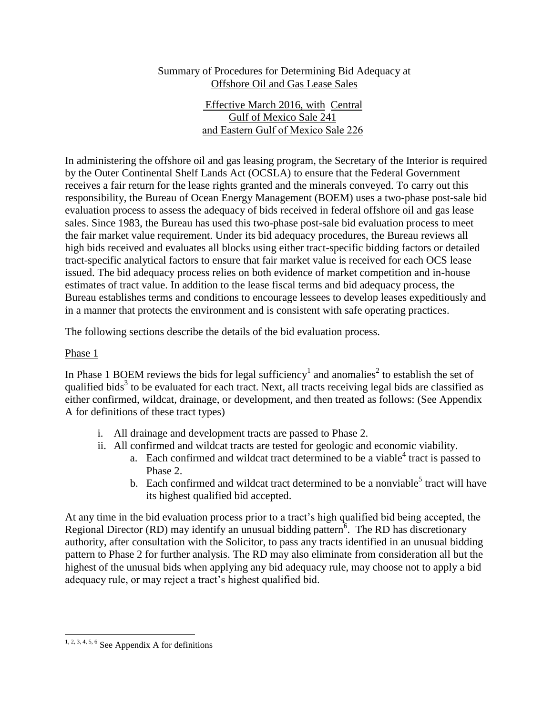# Summary of Procedures for Determining Bid Adequacy at Offshore Oil and Gas Lease Sales

 Effective March 2016, with Central Gulf of Mexico Sale 241 and Eastern Gulf of Mexico Sale 226

In administering the offshore oil and gas leasing program, the Secretary of the Interior is required by the Outer Continental Shelf Lands Act (OCSLA) to ensure that the Federal Government receives a fair return for the lease rights granted and the minerals conveyed. To carry out this responsibility, the Bureau of Ocean Energy Management (BOEM) uses a two-phase post-sale bid evaluation process to assess the adequacy of bids received in federal offshore oil and gas lease sales. Since 1983, the Bureau has used this two-phase post-sale bid evaluation process to meet the fair market value requirement. Under its bid adequacy procedures, the Bureau reviews all high bids received and evaluates all blocks using either tract-specific bidding factors or detailed tract-specific analytical factors to ensure that fair market value is received for each OCS lease issued. The bid adequacy process relies on both evidence of market competition and in-house estimates of tract value. In addition to the lease fiscal terms and bid adequacy process, the Bureau establishes terms and conditions to encourage lessees to develop leases expeditiously and in a manner that protects the environment and is consistent with safe operating practices.

The following sections describe the details of the bid evaluation process.

### Phase 1

In Phase 1 BOEM reviews the bids for legal sufficiency<sup>1</sup> and anomalies<sup>2</sup> to establish the set of qualified bids<sup>3</sup> to be evaluated for each tract. Next, all tracts receiving legal bids are classified as either confirmed, wildcat, drainage, or development, and then treated as follows: (See Appendix A for definitions of these tract types)

- i. All drainage and development tracts are passed to Phase 2.
- ii. All confirmed and wildcat tracts are tested for geologic and economic viability.
	- a. Each confirmed and wildcat tract determined to be a viable<sup>4</sup> tract is passed to Phase 2.
	- b. Each confirmed and wildcat tract determined to be a nonviable<sup>5</sup> tract will have its highest qualified bid accepted.

At any time in the bid evaluation process prior to a tract's high qualified bid being accepted, the Regional Director (RD) may identify an unusual bidding pattern<sup>6</sup>. The RD has discretionary authority, after consultation with the Solicitor, to pass any tracts identified in an unusual bidding pattern to Phase 2 for further analysis. The RD may also eliminate from consideration all but the highest of the unusual bids when applying any bid adequacy rule, may choose not to apply a bid adequacy rule, or may reject a tract's highest qualified bid.

<sup>1, 2, 3, 4, 5, 6</sup> See Appendix A for definitions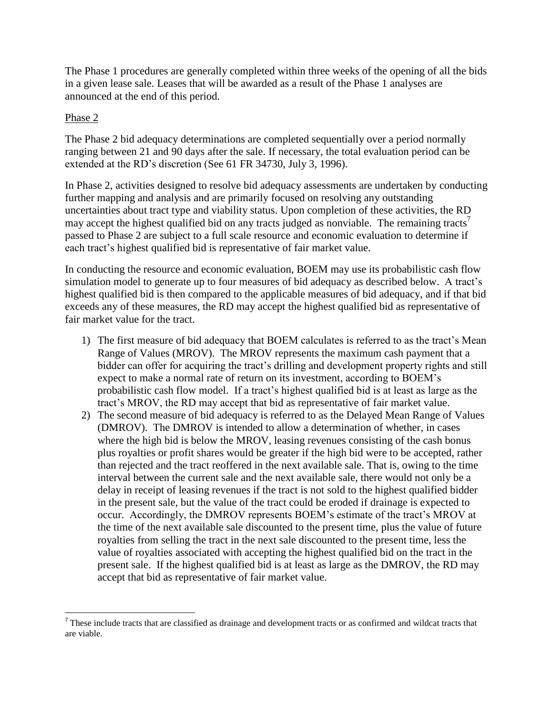The Phase 1 procedures are generally completed within three weeks of the opening of all the bids in a given lease sale. Leases that will be awarded as a result of the Phase 1 analyses are announced at the end of this period.

## Phase 2

 $\overline{\phantom{a}}$ 

The Phase 2 bid adequacy determinations are completed sequentially over a period normally ranging between 21 and 90 days after the sale. If necessary, the total evaluation period can be extended at the RD's discretion (See 61 FR 34730, July 3, 1996).

In Phase 2, activities designed to resolve bid adequacy assessments are undertaken by conducting further mapping and analysis and are primarily focused on resolving any outstanding uncertainties about tract type and viability status. Upon completion of these activities, the RD may accept the highest qualified bid on any tracts judged as nonviable. The remaining tracts<sup> $\prime$ </sup> passed to Phase 2 are subject to a full scale resource and economic evaluation to determine if each tract's highest qualified bid is representative of fair market value.

In conducting the resource and economic evaluation, BOEM may use its probabilistic cash flow simulation model to generate up to four measures of bid adequacy as described below. A tract's highest qualified bid is then compared to the applicable measures of bid adequacy, and if that bid exceeds any of these measures, the RD may accept the highest qualified bid as representative of fair market value for the tract.

- 1) The first measure of bid adequacy that BOEM calculates is referred to as the tract's Mean Range of Values (MROV). The MROV represents the maximum cash payment that a bidder can offer for acquiring the tract's drilling and development property rights and still expect to make a normal rate of return on its investment, according to BOEM's probabilistic cash flow model. If a tract's highest qualified bid is at least as large as the tract's MROV, the RD may accept that bid as representative of fair market value.
- 2) The second measure of bid adequacy is referred to as the Delayed Mean Range of Values (DMROV). The DMROV is intended to allow a determination of whether, in cases where the high bid is below the MROV, leasing revenues consisting of the cash bonus plus royalties or profit shares would be greater if the high bid were to be accepted, rather than rejected and the tract reoffered in the next available sale. That is, owing to the time interval between the current sale and the next available sale, there would not only be a delay in receipt of leasing revenues if the tract is not sold to the highest qualified bidder in the present sale, but the value of the tract could be eroded if drainage is expected to occur. Accordingly, the DMROV represents BOEM's estimate of the tract's MROV at the time of the next available sale discounted to the present time, plus the value of future royalties from selling the tract in the next sale discounted to the present time, less the value of royalties associated with accepting the highest qualified bid on the tract in the present sale. If the highest qualified bid is at least as large as the DMROV, the RD may accept that bid as representative of fair market value.

These include tracts that are classified as drainage and development tracts or as confirmed and wildcat tracts that are viable.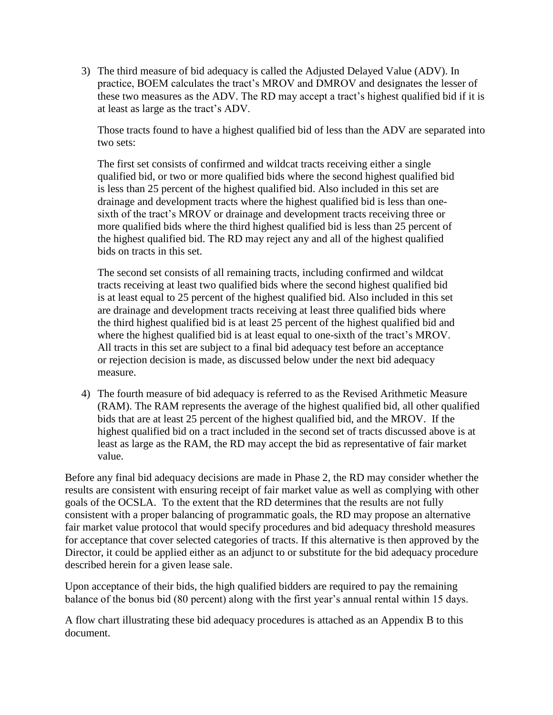3) The third measure of bid adequacy is called the Adjusted Delayed Value (ADV). In practice, BOEM calculates the tract's MROV and DMROV and designates the lesser of these two measures as the ADV. The RD may accept a tract's highest qualified bid if it is at least as large as the tract's ADV.

Those tracts found to have a highest qualified bid of less than the ADV are separated into two sets:

The first set consists of confirmed and wildcat tracts receiving either a single qualified bid, or two or more qualified bids where the second highest qualified bid is less than 25 percent of the highest qualified bid. Also included in this set are drainage and development tracts where the highest qualified bid is less than onesixth of the tract's MROV or drainage and development tracts receiving three or more qualified bids where the third highest qualified bid is less than 25 percent of the highest qualified bid. The RD may reject any and all of the highest qualified bids on tracts in this set.

The second set consists of all remaining tracts, including confirmed and wildcat tracts receiving at least two qualified bids where the second highest qualified bid is at least equal to 25 percent of the highest qualified bid. Also included in this set are drainage and development tracts receiving at least three qualified bids where the third highest qualified bid is at least 25 percent of the highest qualified bid and where the highest qualified bid is at least equal to one-sixth of the tract's MROV. All tracts in this set are subject to a final bid adequacy test before an acceptance or rejection decision is made, as discussed below under the next bid adequacy measure.

4) The fourth measure of bid adequacy is referred to as the Revised Arithmetic Measure (RAM). The RAM represents the average of the highest qualified bid, all other qualified bids that are at least 25 percent of the highest qualified bid, and the MROV. If the highest qualified bid on a tract included in the second set of tracts discussed above is at least as large as the RAM, the RD may accept the bid as representative of fair market value.

Before any final bid adequacy decisions are made in Phase 2, the RD may consider whether the results are consistent with ensuring receipt of fair market value as well as complying with other goals of the OCSLA. To the extent that the RD determines that the results are not fully consistent with a proper balancing of programmatic goals, the RD may propose an alternative fair market value protocol that would specify procedures and bid adequacy threshold measures for acceptance that cover selected categories of tracts. If this alternative is then approved by the Director, it could be applied either as an adjunct to or substitute for the bid adequacy procedure described herein for a given lease sale.

Upon acceptance of their bids, the high qualified bidders are required to pay the remaining balance of the bonus bid (80 percent) along with the first year's annual rental within 15 days.

A flow chart illustrating these bid adequacy procedures is attached as an Appendix B to this document.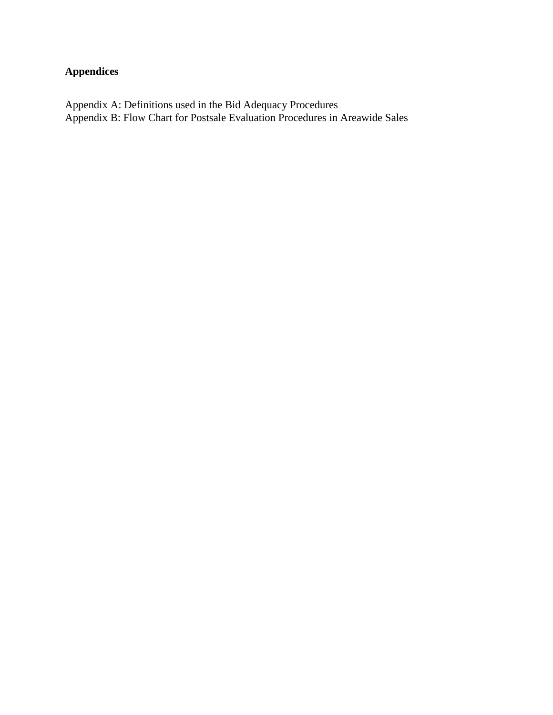# **Appendices**

Appendix A: Definitions used in the Bid Adequacy Procedures Appendix B: Flow Chart for Postsale Evaluation Procedures in Areawide Sales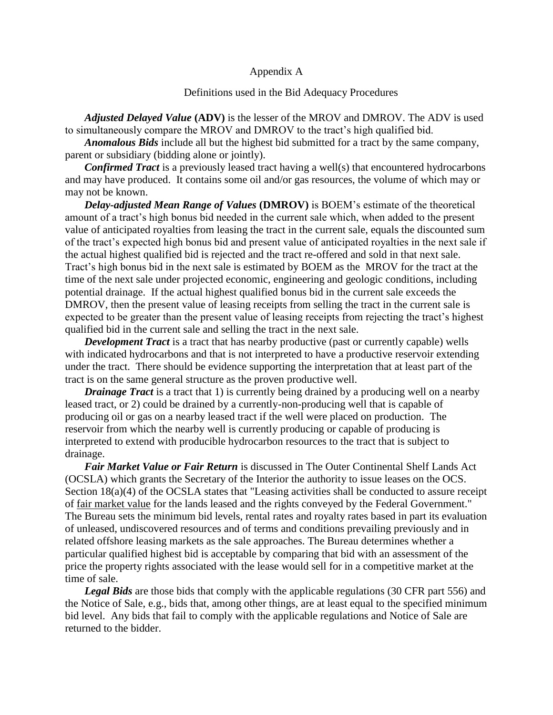#### Appendix A

#### Definitions used in the Bid Adequacy Procedures

*Adjusted Delayed Value* **(ADV)** is the lesser of the MROV and DMROV. The ADV is used to simultaneously compare the MROV and DMROV to the tract's high qualified bid.

*Anomalous Bids* include all but the highest bid submitted for a tract by the same company, parent or subsidiary (bidding alone or jointly).

*Confirmed Tract* is a previously leased tract having a well(s) that encountered hydrocarbons and may have produced. It contains some oil and/or gas resources, the volume of which may or may not be known.

*Delay-adjusted Mean Range of Values* **(DMROV)** is BOEM's estimate of the theoretical amount of a tract's high bonus bid needed in the current sale which, when added to the present value of anticipated royalties from leasing the tract in the current sale, equals the discounted sum of the tract's expected high bonus bid and present value of anticipated royalties in the next sale if the actual highest qualified bid is rejected and the tract re-offered and sold in that next sale. Tract's high bonus bid in the next sale is estimated by BOEM as the MROV for the tract at the time of the next sale under projected economic, engineering and geologic conditions, including potential drainage. If the actual highest qualified bonus bid in the current sale exceeds the DMROV, then the present value of leasing receipts from selling the tract in the current sale is expected to be greater than the present value of leasing receipts from rejecting the tract's highest qualified bid in the current sale and selling the tract in the next sale.

*Development Tract* is a tract that has nearby productive (past or currently capable) wells with indicated hydrocarbons and that is not interpreted to have a productive reservoir extending under the tract. There should be evidence supporting the interpretation that at least part of the tract is on the same general structure as the proven productive well.

*Drainage Tract* is a tract that 1) is currently being drained by a producing well on a nearby leased tract, or 2) could be drained by a currently-non-producing well that is capable of producing oil or gas on a nearby leased tract if the well were placed on production. The reservoir from which the nearby well is currently producing or capable of producing is interpreted to extend with producible hydrocarbon resources to the tract that is subject to drainage.

*Fair Market Value or Fair Return* is discussed in The Outer Continental Shelf Lands Act (OCSLA) which grants the Secretary of the Interior the authority to issue leases on the OCS. Section 18(a)(4) of the OCSLA states that "Leasing activities shall be conducted to assure receipt of fair market value for the lands leased and the rights conveyed by the Federal Government." The Bureau sets the minimum bid levels, rental rates and royalty rates based in part its evaluation of unleased, undiscovered resources and of terms and conditions prevailing previously and in related offshore leasing markets as the sale approaches. The Bureau determines whether a particular qualified highest bid is acceptable by comparing that bid with an assessment of the price the property rights associated with the lease would sell for in a competitive market at the time of sale.

*Legal Bids* are those bids that comply with the applicable regulations (30 CFR part 556) and the Notice of Sale, e.g., bids that, among other things, are at least equal to the specified minimum bid level. Any bids that fail to comply with the applicable regulations and Notice of Sale are returned to the bidder.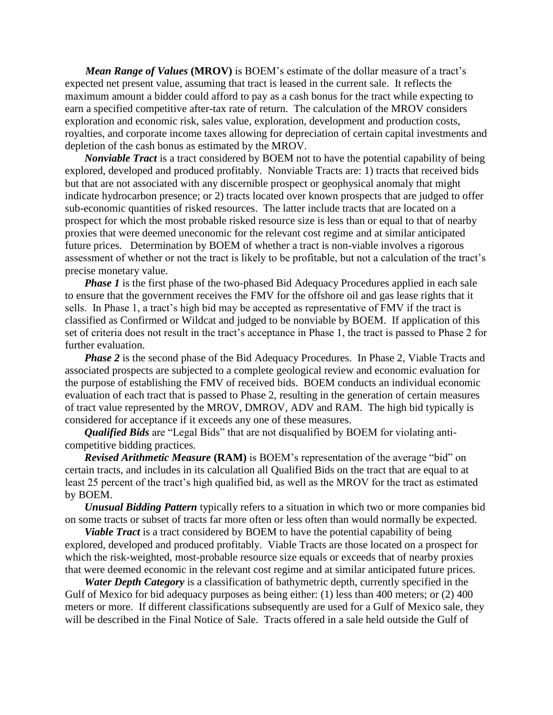*Mean Range of Values* **(MROV)** is BOEM's estimate of the dollar measure of a tract's expected net present value, assuming that tract is leased in the current sale. It reflects the maximum amount a bidder could afford to pay as a cash bonus for the tract while expecting to earn a specified competitive after-tax rate of return. The calculation of the MROV considers exploration and economic risk, sales value, exploration, development and production costs, royalties, and corporate income taxes allowing for depreciation of certain capital investments and depletion of the cash bonus as estimated by the MROV.

*Nonviable Tract* is a tract considered by BOEM not to have the potential capability of being explored, developed and produced profitably. Nonviable Tracts are: 1) tracts that received bids but that are not associated with any discernible prospect or geophysical anomaly that might indicate hydrocarbon presence; or 2) tracts located over known prospects that are judged to offer sub-economic quantities of risked resources. The latter include tracts that are located on a prospect for which the most probable risked resource size is less than or equal to that of nearby proxies that were deemed uneconomic for the relevant cost regime and at similar anticipated future prices. Determination by BOEM of whether a tract is non-viable involves a rigorous assessment of whether or not the tract is likely to be profitable, but not a calculation of the tract's precise monetary value.

*Phase 1* is the first phase of the two-phased Bid Adequacy Procedures applied in each sale to ensure that the government receives the FMV for the offshore oil and gas lease rights that it sells. In Phase 1, a tract's high bid may be accepted as representative of FMV if the tract is classified as Confirmed or Wildcat and judged to be nonviable by BOEM. If application of this set of criteria does not result in the tract's acceptance in Phase 1, the tract is passed to Phase 2 for further evaluation.

*Phase 2* is the second phase of the Bid Adequacy Procedures. In Phase 2, Viable Tracts and associated prospects are subjected to a complete geological review and economic evaluation for the purpose of establishing the FMV of received bids. BOEM conducts an individual economic evaluation of each tract that is passed to Phase 2, resulting in the generation of certain measures of tract value represented by the MROV, DMROV, ADV and RAM. The high bid typically is considered for acceptance if it exceeds any one of these measures.

*Qualified Bids* are "Legal Bids" that are not disqualified by BOEM for violating anticompetitive bidding practices.

*Revised Arithmetic Measure* **(RAM)** is BOEM's representation of the average "bid" on certain tracts, and includes in its calculation all Qualified Bids on the tract that are equal to at least 25 percent of the tract's high qualified bid, as well as the MROV for the tract as estimated by BOEM.

*Unusual Bidding Pattern* typically refers to a situation in which two or more companies bid on some tracts or subset of tracts far more often or less often than would normally be expected.

*Viable Tract* is a tract considered by BOEM to have the potential capability of being explored, developed and produced profitably. Viable Tracts are those located on a prospect for which the risk-weighted, most-probable resource size equals or exceeds that of nearby proxies that were deemed economic in the relevant cost regime and at similar anticipated future prices.

*Water Depth Category* is a classification of bathymetric depth, currently specified in the Gulf of Mexico for bid adequacy purposes as being either: (1) less than 400 meters; or (2) 400 meters or more. If different classifications subsequently are used for a Gulf of Mexico sale, they will be described in the Final Notice of Sale. Tracts offered in a sale held outside the Gulf of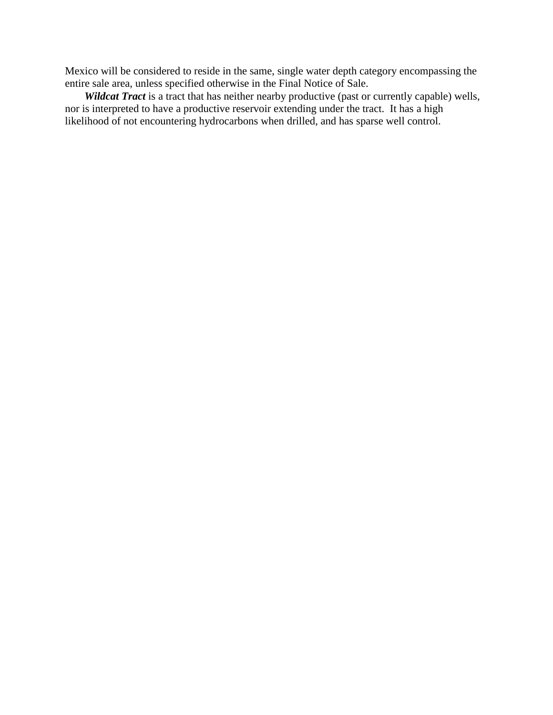Mexico will be considered to reside in the same, single water depth category encompassing the entire sale area, unless specified otherwise in the Final Notice of Sale.

*Wildcat Tract* is a tract that has neither nearby productive (past or currently capable) wells, nor is interpreted to have a productive reservoir extending under the tract. It has a high likelihood of not encountering hydrocarbons when drilled, and has sparse well control.